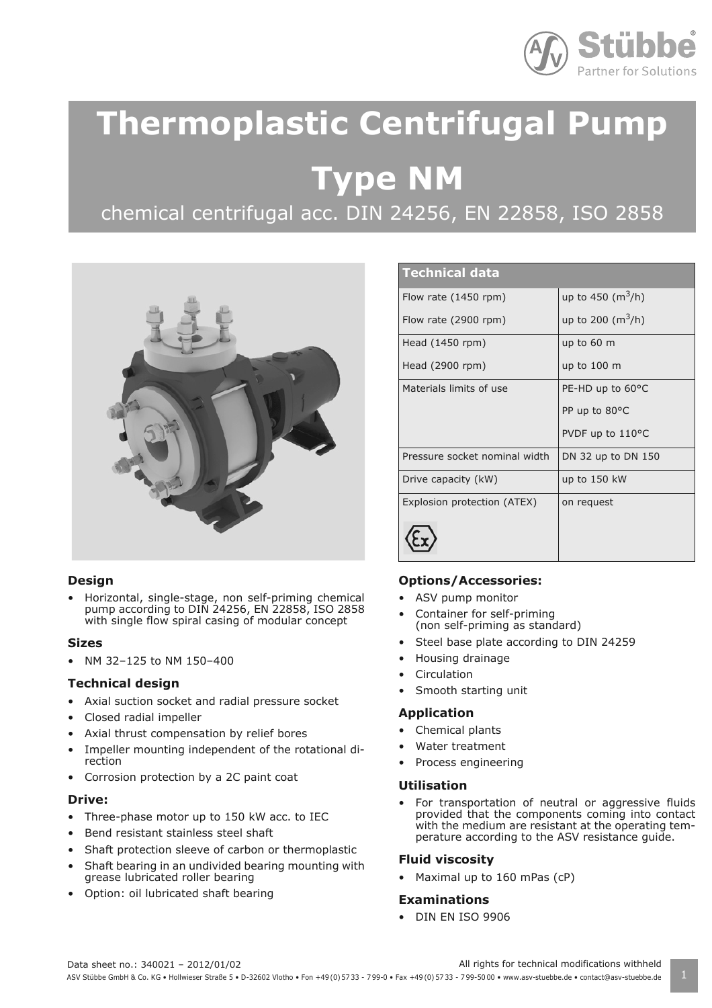

# **Thermoplastic Centrifugal Pump**

 **Type NM**

chemical centrifugal acc. DIN 24256, EN 22858, ISO 2858



# **Design**

• Horizontal, single-stage, non self-priming chemical pump according to DIN 24256, EN 22858, ISO 2858 with single flow spiral casing of modular concept

# **Sizes**

• NM 32–125 to NM 150–400

# **Technical design**

- Axial suction socket and radial pressure socket
- Closed radial impeller
- Axial thrust compensation by relief bores
- Impeller mounting independent of the rotational direction
- Corrosion protection by a 2C paint coat

#### **Drive:**

- Three-phase motor up to 150 kW acc. to IEC
- Bend resistant stainless steel shaft
- Shaft protection sleeve of carbon or thermoplastic
- Shaft bearing in an undivided bearing mounting with grease lubricated roller bearing
- Option: oil lubricated shaft bearing

| <b>Technical data</b>         |                           |
|-------------------------------|---------------------------|
| Flow rate $(1450$ rpm)        | up to 450 ( $\rm m^3/h$ ) |
| Flow rate (2900 rpm)          | up to 200 ( $\rm m^3/h$ ) |
| Head (1450 rpm)               | up to 60 m                |
| Head (2900 rpm)               | up to 100 m               |
| Materials limits of use       | PE-HD up to 60°C          |
|                               | PP up to 80°C             |
|                               | PVDF up to 110°C          |
| Pressure socket nominal width | DN 32 up to DN 150        |
| Drive capacity (kW)           | up to 150 kW              |
| Explosion protection (ATEX)   | on request                |
|                               |                           |

# **Options/Accessories:**

- ASV pump monitor
- Container for self-priming (non self-priming as standard)
- Steel base plate according to DIN 24259
- Housing drainage
- **Circulation**
- Smooth starting unit

#### **Application**

- Chemical plants
- Water treatment
- Process engineering

# **Utilisation**

• For transportation of neutral or aggressive fluids provided that the components coming into contact with the medium are resistant at the operating temperature according to the ASV resistance guide.

# **Fluid viscosity**

• Maximal up to 160 mPas (cP)

# **Examinations**

• DIN EN ISO 9906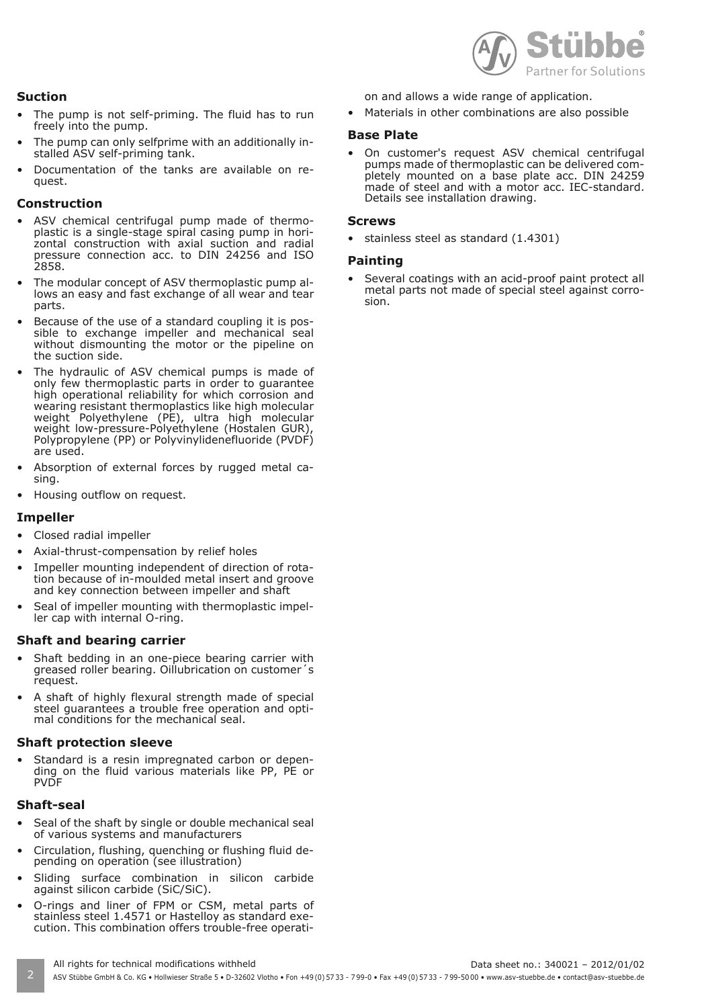

# **Suction**

- The pump is not self-priming. The fluid has to run freely into the pump.
- The pump can only selfprime with an additionally installed ASV self-priming tank.
- Documentation of the tanks are available on request.

## **Construction**

- ASV chemical centrifugal pump made of thermoplastic is a single-stage spiral casing pump in horizontal construction with axial suction and radial pressure connection acc. to DIN 24256 and ISO 2858.
- The modular concept of ASV thermoplastic pump allows an easy and fast exchange of all wear and tear parts.
- Because of the use of a standard coupling it is possible to exchange impeller and mechanical seal without dismounting the motor or the pipeline on the suction side.
- The hydraulic of ASV chemical pumps is made of only few thermoplastic parts in order to guarantee high operational reliability for which corrosion and wearing resistant thermoplastics like high molecular weight Polyethylene (PE), ultra high molecular weight low-pressure-Polyethylene (Hostalen GUR), Polypropylene (PP) or Polyvinylidenefluoride (PVDF) are used.
- Absorption of external forces by rugged metal casing.
- Housing outflow on request.

# **Impeller**

- Closed radial impeller
- Axial-thrust-compensation by relief holes
- Impeller mounting independent of direction of rotation because of in-moulded metal insert and groove and key connection between impeller and shaft
- Seal of impeller mounting with thermoplastic impeller cap with internal O-ring.

#### **Shaft and bearing carrier**

- Shaft bedding in an one-piece bearing carrier with greased roller bearing. Oillubrication on customer´s request.
- A shaft of highly flexural strength made of special steel guarantees a trouble free operation and optimal conditions for the mechanical seal.

# **Shaft protection sleeve**

Standard is a resin impregnated carbon or depending on the fluid various materials like PP, PE or PVDF

#### **Shaft-seal**

- Seal of the shaft by single or double mechanical seal of various systems and manufacturers
- Circulation, flushing, quenching or flushing fluid depending on operation (see illustration)
- Sliding surface combination in silicon carbide against silicon carbide (SiC/SiC).
- O-rings and liner of FPM or CSM, metal parts of stainless steel 1.4571 or Hastelloy as standard execution. This combination offers trouble-free operati-

on and allows a wide range of application.

• Materials in other combinations are also possible

#### **Base Plate**

• On customer's request ASV chemical centrifugal pumps made of thermoplastic can be delivered completely mounted on a base plate acc. DIN 24259 made of steel and with a motor acc. IEC-standard. Details see installation drawing.

#### **Screws**

• stainless steel as standard (1.4301)

#### **Painting**

Several coatings with an acid-proof paint protect all metal parts not made of special steel against corrosion.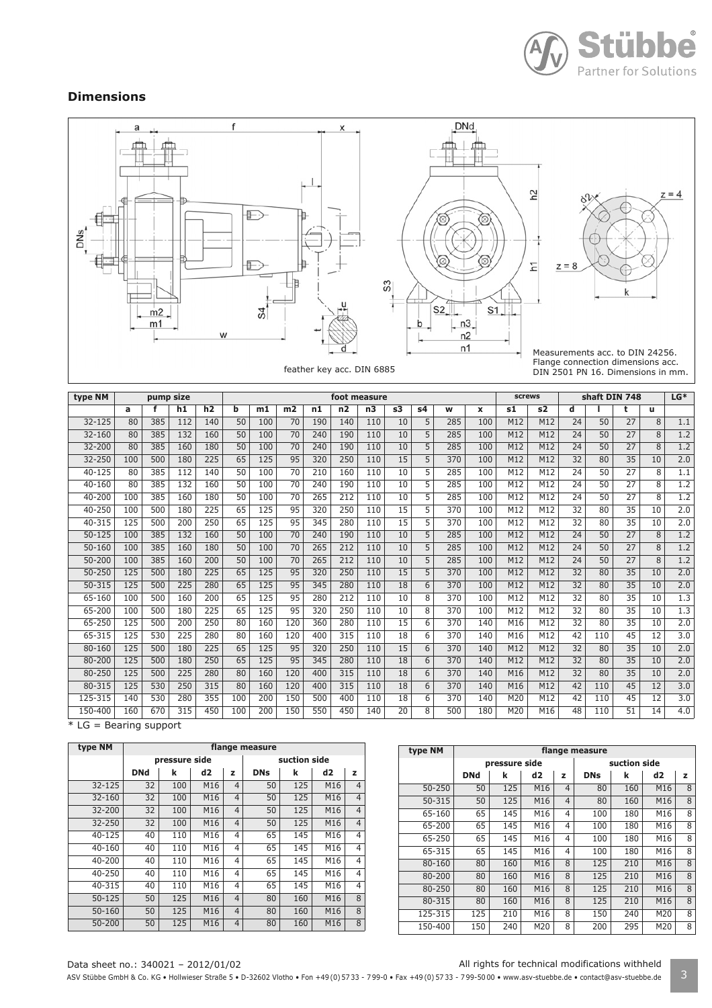

# **Dimensions**



| type NM    |     | pump size |     |     |     |     |                 |     | foot measure   |                |    |    |     |              | <b>screws</b> |     | shaft DIN 748   |     |                 |    | $LG*$            |
|------------|-----|-----------|-----|-----|-----|-----|-----------------|-----|----------------|----------------|----|----|-----|--------------|---------------|-----|-----------------|-----|-----------------|----|------------------|
|            | a   | f         | h1  | h2  | b   | m1  | m2              | n1  | n <sub>2</sub> | n <sub>3</sub> | s3 | s4 | w   | $\mathbf{x}$ | s1            | s2  | d               |     | t               | u. |                  |
| $32 - 125$ | 80  | 385       | 112 | 140 | 50  | 100 | 70              | 190 | 140            | 110            | 10 | 5  | 285 | 100          | M12           | M12 | 24              | 50  | 27              | 8  | 1.1              |
| 32-160     | 80  | 385       | 132 | 160 | 50  | 100 | 70              | 240 | 190            | 110            | 10 | 5  | 285 | 100          | M12           | M12 | 24              | 50  | 27              | 8  | 1.2              |
| 32-200     | 80  | 385       | 160 | 180 | 50  | 100 | 70              | 240 | 190            | 110            | 10 | 5  | 285 | 100          | M12           | M12 | 24              | 50  | 27              | 8  | 1.2              |
| 32-250     | 100 | 500       | 180 | 225 | 65  | 125 | 95              | 320 | 250            | 110            | 15 | 5  | 370 | 100          | M12           | M12 | 32              | 80  | 35              | 10 | 2.0              |
| 40-125     | 80  | 385       | 112 | 140 | 50  | 100 | $\overline{70}$ | 210 | 160            | 110            | 10 | 5  | 285 | 100          | M12           | M12 | 24              | 50  | 27              | 8  | $\overline{1.1}$ |
| 40-160     | 80  | 385       | 132 | 160 | 50  | 100 | 70              | 240 | 190            | 110            | 10 | 5  | 285 | 100          | M12           | M12 | 24              | 50  | 27              | 8  | 1.2              |
| 40-200     | 100 | 385       | 160 | 180 | 50  | 100 | 70              | 265 | 212            | 110            | 10 | 5  | 285 | 100          | M12           | M12 | 24              | 50  | $\overline{27}$ | 8  | 1.2              |
| 40-250     | 100 | 500       | 180 | 225 | 65  | 125 | 95              | 320 | 250            | 110            | 15 | 5  | 370 | 100          | M12           | M12 | 32              | 80  | 35              | 10 | 2.0              |
| 40-315     | 125 | 500       | 200 | 250 | 65  | 125 | 95              | 345 | 280            | 110            | 15 | 5  | 370 | 100          | M12           | M12 | $\overline{32}$ | 80  | 35              | 10 | 2.0              |
| $50 - 125$ | 100 | 385       | 132 | 160 | 50  | 100 | 70              | 240 | 190            | 110            | 10 | 5  | 285 | 100          | M12           | M12 | 24              | 50  | $\overline{27}$ | 8  | 1.2              |
| $50 - 160$ | 100 | 385       | 160 | 180 | 50  | 100 | 70              | 265 | 212            | 110            | 10 | 5  | 285 | 100          | M12           | M12 | $\overline{24}$ | 50  | $\overline{27}$ | 8  | 1.2              |
| $50 - 200$ | 100 | 385       | 160 | 200 | 50  | 100 | 70              | 265 | 212            | 110            | 10 | 5  | 285 | 100          | M12           | M12 | 24              | 50  | 27              | 8  | 1.2              |
| $50 - 250$ | 125 | 500       | 180 | 225 | 65  | 125 | 95              | 320 | 250            | 110            | 15 | 5  | 370 | 100          | M12           | M12 | 32              | 80  | 35              | 10 | 2.0              |
| 50-315     | 125 | 500       | 225 | 280 | 65  | 125 | 95              | 345 | 280            | 110            | 18 | 6  | 370 | 100          | M12           | M12 | $\overline{32}$ | 80  | 35              | 10 | 2.0              |
| 65-160     | 100 | 500       | 160 | 200 | 65  | 125 | 95              | 280 | 212            | 110            | 10 | 8  | 370 | 100          | M12           | M12 | $\overline{32}$ | 80  | 35              | 10 | 1.3              |
| 65-200     | 100 | 500       | 180 | 225 | 65  | 125 | 95              | 320 | 250            | 110            | 10 | 8  | 370 | 100          | M12           | M12 | $\overline{32}$ | 80  | 35              | 10 | 1.3              |
| 65-250     | 125 | 500       | 200 | 250 | 80  | 160 | 120             | 360 | 280            | 110            | 15 | 6  | 370 | 140          | M16           | M12 | 32              | 80  | 35              | 10 | 2.0              |
| 65-315     | 125 | 530       | 225 | 280 | 80  | 160 | 120             | 400 | 315            | 110            | 18 | 6  | 370 | 140          | M16           | M12 | 42              | 110 | 45              | 12 | $\overline{3.0}$ |
| 80-160     | 125 | 500       | 180 | 225 | 65  | 125 | 95              | 320 | 250            | 110            | 15 | 6  | 370 | 140          | M12           | M12 | 32              | 80  | 35              | 10 | 2.0              |
| $80 - 200$ | 125 | 500       | 180 | 250 | 65  | 125 | 95              | 345 | 280            | 110            | 18 | 6  | 370 | 140          | M12           | M12 | 32              | 80  | 35              | 10 | 2.0              |
| 80-250     | 125 | 500       | 225 | 280 | 80  | 160 | 120             | 400 | 315            | 110            | 18 | 6  | 370 | 140          | M16           | M12 | $\overline{32}$ | 80  | 35              | 10 | 2.0              |
| 80-315     | 125 | 530       | 250 | 315 | 80  | 160 | 120             | 400 | 315            | 110            | 18 | 6  | 370 | 140          | M16           | M12 | 42              | 110 | 45              | 12 | 3.0              |
| 125-315    | 140 | 530       | 280 | 355 | 100 | 200 | 150             | 500 | 400            | 110            | 18 | 6  | 370 | 140          | M20           | M12 | 42              | 110 | 45              | 12 | 3.0              |
| 150-400    | 160 | 670       | 315 | 450 | 100 | 200 | 150             | 550 | 450            | 140            | 20 | 8  | 500 | 180          | M20           | M16 | 48              | 110 | 51              | 14 | 4.0              |

\* LG = Bearing support

| type NM    | flange measure |               |     |                |            |              |     |                |  |  |  |  |  |
|------------|----------------|---------------|-----|----------------|------------|--------------|-----|----------------|--|--|--|--|--|
|            |                | pressure side |     |                |            | suction side |     |                |  |  |  |  |  |
|            | <b>DNd</b>     | k             | d2  | z              | <b>DNs</b> | k            | d2  | z              |  |  |  |  |  |
| 32-125     | 32             | 100           | M16 | $\overline{4}$ | 50         | 125          | M16 | $\overline{4}$ |  |  |  |  |  |
| $32 - 160$ | 32             | 100           | M16 | $\overline{4}$ | 50         | 125          | M16 | $\overline{4}$ |  |  |  |  |  |
| 32-200     | 32             | 100           | M16 | $\overline{4}$ | 50         | 125          | M16 | $\overline{4}$ |  |  |  |  |  |
| 32-250     | 32             | 100           | M16 | $\overline{4}$ | 50         | 125          | M16 | $\overline{4}$ |  |  |  |  |  |
| $40 - 125$ | 40             | 110           | M16 | $\overline{4}$ | 65         | 145          | M16 | $\overline{4}$ |  |  |  |  |  |
| 40-160     | 40             | 110           | M16 | 4              | 65         | 145          | M16 | $\overline{4}$ |  |  |  |  |  |
| 40-200     | 40             | 110           | M16 | 4              | 65         | 145          | M16 | $\overline{4}$ |  |  |  |  |  |
| 40-250     | 40             | 110           | M16 | 4              | 65         | 145          | M16 | $\overline{4}$ |  |  |  |  |  |
| 40-315     | 40             | 110           | M16 | $\overline{4}$ | 65         | 145          | M16 | $\overline{4}$ |  |  |  |  |  |
| $50 - 125$ | 50             | 125           | M16 | $\overline{4}$ | 80         | 160          | M16 | 8              |  |  |  |  |  |
| 50-160     | 50             | 125           | M16 | $\overline{4}$ | 80         | 160          | M16 | 8              |  |  |  |  |  |
| 50-200     | 50             | 125           | M16 | $\overline{4}$ | 80         | 160          | M16 | 8              |  |  |  |  |  |

| type NM    | flange measure |               |     |                |            |              |     |   |  |  |  |  |  |
|------------|----------------|---------------|-----|----------------|------------|--------------|-----|---|--|--|--|--|--|
|            |                | pressure side |     |                |            | suction side |     |   |  |  |  |  |  |
|            | <b>DNd</b>     | k             | d2  | z              | <b>DNs</b> | k            | d2  | z |  |  |  |  |  |
| $50 - 250$ | 50             | 125           | M16 | $\overline{4}$ | 80         | 160          | M16 | 8 |  |  |  |  |  |
| 50-315     | 50             | 125           | M16 | $\overline{4}$ | 80         | 160          | M16 | 8 |  |  |  |  |  |
| 65-160     | 65             | 145           | M16 | 4              | 100        | 180          | M16 | 8 |  |  |  |  |  |
| 65-200     | 65             | 145           | M16 | $\overline{4}$ | 100        | 180          | M16 | 8 |  |  |  |  |  |
| 65-250     | 65             | 145           | M16 | 4              | 100        | 180          | M16 | 8 |  |  |  |  |  |
| 65-315     | 65             | 145           | M16 | $\overline{4}$ | 100        | 180          | M16 | 8 |  |  |  |  |  |
| 80-160     | 80             | 160           | M16 | 8              | 125        | 210          | M16 | 8 |  |  |  |  |  |
| 80-200     | 80             | 160           | M16 | 8              | 125        | 210          | M16 | 8 |  |  |  |  |  |
| 80-250     | 80             | 160           | M16 | 8              | 125        | 210          | M16 | 8 |  |  |  |  |  |
| 80-315     | 80             | 160           | M16 | 8              | 125        | 210          | M16 | 8 |  |  |  |  |  |
| 125-315    | 125            | 210           | M16 | 8              | 150        | 240          | M20 | 8 |  |  |  |  |  |
| 150-400    | 150            | 240           | M20 | 8              | 200        | 295          | M20 | 8 |  |  |  |  |  |

Data sheet no.: 340021 – 2012/01/02 All rights for technical modifications withheld

ASV Stübbe GmbH & Co. KG • Hollwieser Straße 5 • D-32602 Vlotho • Fon +49(0) 57 33 - 799-0 • Fax +49(0) 57 33 - 799-5000 • www.asv-stuebbe.de • contact@asv-stuebbe.de 3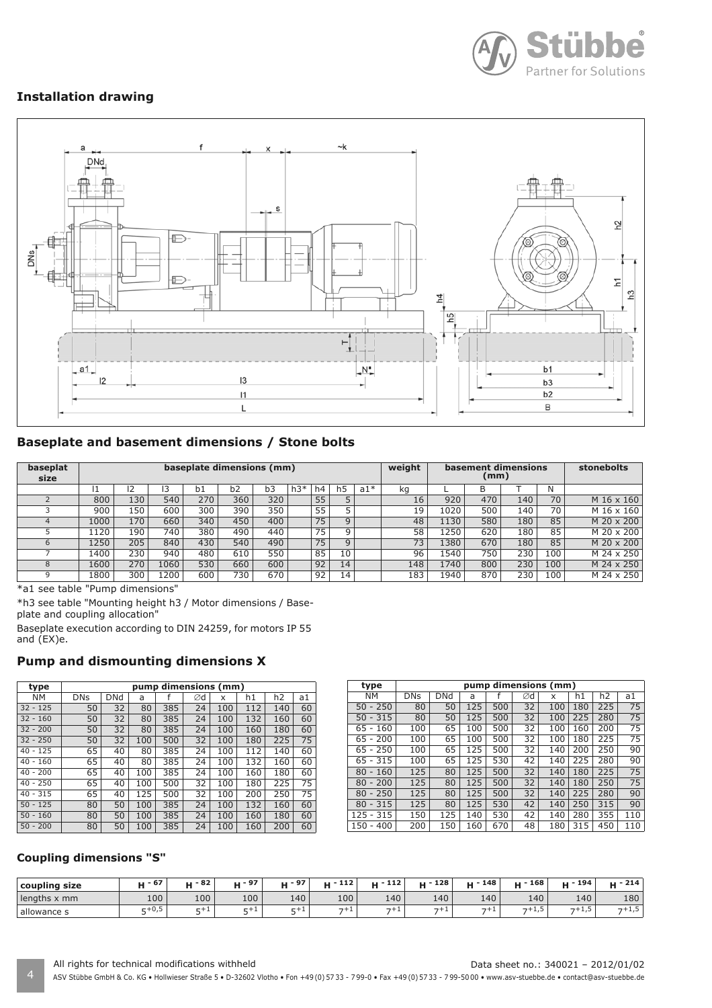

# **Installation drawing**



# **Baseplate and basement dimensions / Stone bolts**

| baseplat<br>size |      |     |      | baseplate dimensions (mm) |     |     |       |    |    |       | weight | basement dimensions<br>(mm) |     |     |     | stonebolts |
|------------------|------|-----|------|---------------------------|-----|-----|-------|----|----|-------|--------|-----------------------------|-----|-----|-----|------------|
|                  | L    |     |      | b1                        | b2  | b3  | $h3*$ | h4 |    | $a1*$ | ka     |                             | B   |     | N   |            |
|                  | 800  | 130 | 540  | 270                       | 360 | 320 |       | 55 |    |       | 16     | 920                         | 470 | 140 | 70  | M 16 x 160 |
|                  | 900  | 150 | 600  | 300                       | 390 | 350 |       | 55 |    |       | 19     | 1020                        | 500 | 140 | 70  | M 16 x 160 |
|                  | 1000 | 170 | 660  | 340                       | 450 | 400 |       | 75 | q  |       | 48     | 1130                        | 580 | 180 | 85  | M 20 x 200 |
|                  | 120  | 190 | 740  | 380                       | 490 | 440 |       | 75 | a  |       | 58     | 1250                        | 620 | 180 | 85  | M 20 x 200 |
| 6                | 1250 | 205 | 840  | 430                       | 540 | 490 |       | 75 | q  |       | 73     | 1380                        | 670 | 180 | 85  | M 20 x 200 |
|                  | 1400 | 230 | 940  | 480                       | 610 | 550 |       | 85 | 10 |       | 96     | 1540                        | 750 | 230 | 100 | M 24 x 250 |
|                  | 1600 | 270 | 1060 | 530                       | 660 | 600 |       | 92 | 14 |       | 148    | 1740                        | 800 | 230 | 100 | M 24 x 250 |
|                  | 1800 | 300 | 1200 | 600                       | 730 | 670 |       | 92 | 14 |       | 183    | 1940                        | 870 | 230 | 100 | M 24 x 250 |

\*a1 see table "Pump dimensions"

\*h3 see table "Mounting height h3 / Motor dimensions / Baseplate and coupling allocation"

Baseplate execution according to DIN 24259, for motors IP 55 and (EX)e.

## **Pump and dismounting dimensions X**

| type       | pump dimensions (mm) |     |     |     |    |     |     |                |    |  |  |  |  |
|------------|----------------------|-----|-----|-----|----|-----|-----|----------------|----|--|--|--|--|
| NΜ         | <b>DNs</b>           | DNd | a   |     | Ød | x   | h1  | h <sub>2</sub> | a1 |  |  |  |  |
| $32 - 125$ | 50                   | 32  | 80  | 385 | 24 | 100 | 112 | 140            | 60 |  |  |  |  |
| $32 - 160$ | 50                   | 32  | 80  | 385 | 24 | 100 | 132 | 160            | 60 |  |  |  |  |
| $32 - 200$ | 50                   | 32  | 80  | 385 | 24 | 100 | 160 | 180            | 60 |  |  |  |  |
| $32 - 250$ | 50                   | 32  | 100 | 500 | 32 | 100 | 180 | 225            | 75 |  |  |  |  |
| $40 - 125$ | 65                   | 40  | 80  | 385 | 24 | 100 | 112 | 140            | 60 |  |  |  |  |
| $40 - 160$ | 65                   | 40  | 80  | 385 | 24 | 100 | 132 | 160            | 60 |  |  |  |  |
| $40 - 200$ | 65                   | 40  | 100 | 385 | 24 | 100 | 160 | 180            | 60 |  |  |  |  |
| $40 - 250$ | 65                   | 40  | 100 | 500 | 32 | 100 | 180 | 225            | 75 |  |  |  |  |
| $40 - 315$ | 65                   | 40  | 125 | 500 | 32 | 100 | 200 | 250            | 75 |  |  |  |  |
| $50 - 125$ | 80                   | 50  | 100 | 385 | 24 | 100 | 132 | 160            | 60 |  |  |  |  |
| $50 - 160$ | 80                   | 50  | 100 | 385 | 24 | 100 | 160 | 180            | 60 |  |  |  |  |
| $50 - 200$ | 80                   | 50  | 100 | 385 | 24 | 100 | 160 | 200            | 60 |  |  |  |  |

| type                | pump dimensions (mm) |            |     |     |    |     |     |                |     |  |  |  |  |
|---------------------|----------------------|------------|-----|-----|----|-----|-----|----------------|-----|--|--|--|--|
| <b>NM</b>           | <b>DNs</b>           | <b>DNd</b> | a   |     | Ød | x   | h1  | h <sub>2</sub> | a1  |  |  |  |  |
| $50 - 250$          | 80                   | 50         | 125 | 500 | 32 | 100 | 180 | 225            | 75  |  |  |  |  |
| 315<br>50<br>$\sim$ | 80                   | 50         | 125 | 500 | 32 | 100 | 225 | 280            | 75  |  |  |  |  |
| 160<br>65 -         | 100                  | 65         | 100 | 500 | 32 | 100 | 160 | 200            | 75  |  |  |  |  |
| $65 - 200$          | 100                  | 65         | 100 | 500 | 32 | 100 | 180 | 225            | 75  |  |  |  |  |
| $65 - 250$          | 100                  | 65         | 125 | 500 | 32 | 140 | 200 | 250            | 90  |  |  |  |  |
| $65 - 315$          | 100                  | 65         | 125 | 530 | 42 | 140 | 225 | 280            | 90  |  |  |  |  |
| $80 -$<br>160       | 125                  | 80         | 125 | 500 | 32 | 140 | 180 | 225            | 75  |  |  |  |  |
| $80 - 200$          | 125                  | 80         | 125 | 500 | 32 | 140 | 180 | 250            | 75  |  |  |  |  |
| $80 - 250$          | 125                  | 80         | 125 | 500 | 32 | 140 | 225 | 280            | 90  |  |  |  |  |
| $80 - 315$          | 125                  | 80         | 125 | 530 | 42 | 140 | 250 | 315            | 90  |  |  |  |  |
| $125 - 315$         | 150                  | 125        | 140 | 530 | 42 | 140 | 280 | 355            | 110 |  |  |  |  |
| $150 - 400$         | 200                  | 150        | 160 | 670 | 48 | 180 | 315 | 450            | 110 |  |  |  |  |

#### **Coupling dimensions "S"**

| coupling size | - 67      | $-82$ | ப - 97 |         | 112<br>. | 112<br><b>MP</b><br>п | 128<br>. M. F | 148<br>$\cdots$ | 168<br><b>MF</b> | ւս - 194 | 214          |
|---------------|-----------|-------|--------|---------|----------|-----------------------|---------------|-----------------|------------------|----------|--------------|
| lengths x mm  | 100       | 100   | 100    | 140     | 100      | 140                   | 140'          | 140             | 140              | 140      | 180          |
| allowance s   | $E + 0.5$ | $-+$  | $-+$   | --<br>. | フナエ      | フキュ                   | ラキュ           | $-+$            | $-+1, 3$         | $7+1,5$  | . .<br>7+1,5 |

4 ASV Stübbe GmbH & Co. KG • Hollwieser Straße 5 • D-32602 Vlotho • Fon +49 (0) 57 33 - 7 99-0 • Fax +49 (0) 57 33 - 7 99-50 00 • www.asv-stuebbe.de • contact@asv-stuebbe.de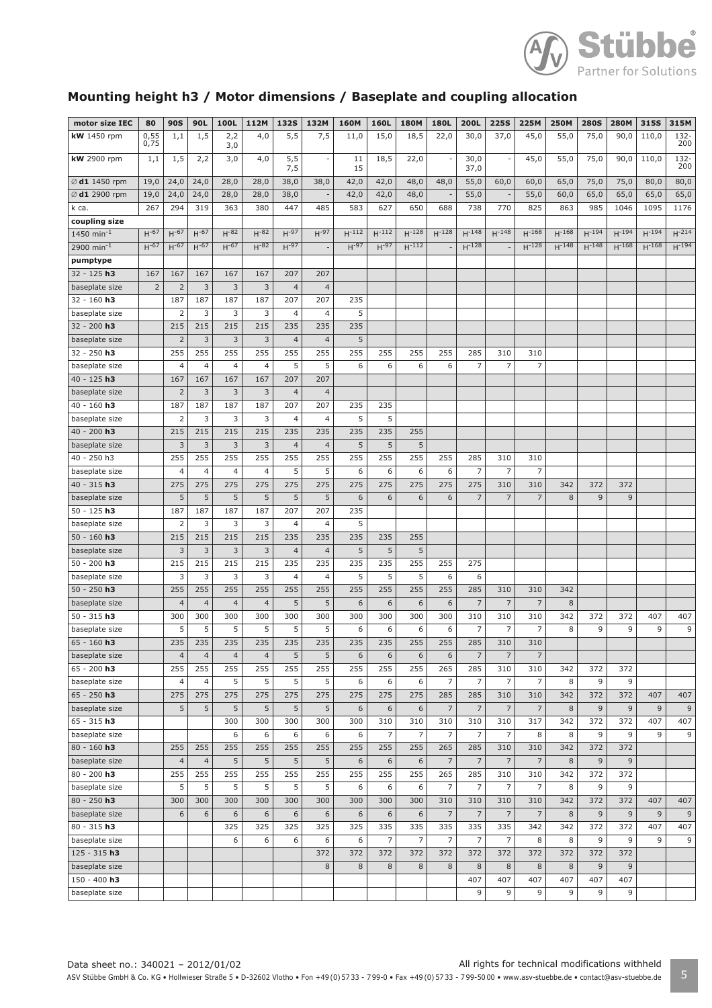

# **Mounting height h3 / Motor dimensions / Baseplate and coupling allocation**

| motor size IEC            | 80               | <b>90S</b>     | 90L            | 100L             | 112M           | <b>132S</b>    | 132M           | <b>160M</b> | 160L           | <b>180M</b>    | 180L           | 200L           | <b>225S</b>              | 225M           | <b>250M</b> | <b>280S</b> | <b>280M</b> | 315S           | 315M        |
|---------------------------|------------------|----------------|----------------|------------------|----------------|----------------|----------------|-------------|----------------|----------------|----------------|----------------|--------------------------|----------------|-------------|-------------|-------------|----------------|-------------|
| <b>kW</b> 1450 rpm        | $0,55$<br>$0,75$ | 1,1            | 1,5            | 2,2              | 4,0            | 5,5            | 7,5            | 11,0        | 15,0           | 18,5           | 22,0           | 30,0           | 37,0                     | 45,0           | 55,0        | 75,0        | 90,0        | 110,0          | 132-        |
|                           |                  |                |                | 3,0              |                |                |                |             |                |                |                |                |                          |                |             |             |             |                | 200         |
| <b>kW</b> 2900 rpm        | 1,1              | 1,5            | 2,2            | 3,0              | 4,0            | 5,5<br>7,5     |                | 11<br>15    | 18,5           | 22,0           |                | 30,0<br>37,0   | $\overline{\phantom{a}}$ | 45,0           | 55,0        | 75,0        | 90,0        | 110,0          | 132-<br>200 |
| $\varnothing$ d1 1450 rpm | 19,0             | 24,0           | 24,0           | 28,0             | 28,0           | 38,0           | 38,0           | 42,0        | 42,0           | 48,0           | 48,0           | 55,0           | 60,0                     | 60,0           | 65,0        | 75,0        | 75,0        | 80,0           | 80,0        |
| Ø d1 2900 rpm             | 19,0             | 24,0           | 24,0           | 28,0             | 28,0           | 38,0           |                | 42,0        | 42,0           | 48,0           |                | 55,0           | $\overline{\phantom{a}}$ | 55,0           | 60,0        | 65,0        | 65,0        | 65,0           | 65,0        |
| k ca.                     | 267              | 294            | 319            | 363              | 380            | 447            | 485            | 583         | 627            | 650            | 688            | 738            | 770                      | 825            | 863         | 985         | 1046        | 1095           | 1176        |
| coupling size             |                  |                |                |                  |                |                |                |             |                |                |                |                |                          |                |             |             |             |                |             |
| $1450$ min <sup>-1</sup>  | $H-67$           | $H^{-67}$      | $H-67$         | $H^{-82}$        | $H^{-82}$      | $H-97$         | $H-97$         | $H^{-112}$  | $H^{-112}$     | $H^{-128}$     | $H^{-128}$     | $H^{-148}$     | $H^{-148}$               | $H^{-168}$     | $H^{-168}$  | $H^{-194}$  | $H^{-194}$  | $H^{-194}$     | $H^{-214}$  |
| 2900 min <sup>-1</sup>    | $H^{-67}$        | $H^{-67}$      | $H-67$         | $H^{-67}$        | $H^{-82}$      | $H-97$         |                | $H^{-97}$   | $H^{-97}$      | $H^{-112}$     |                | $H^{-128}$     |                          | $H^{-128}$     | $H^{-148}$  | $H^{-148}$  | $H^{-168}$  | $H^{-168}$     | $H^{-194}$  |
| pumptype                  |                  |                |                |                  |                |                |                |             |                |                |                |                |                          |                |             |             |             |                |             |
| $32 - 125$ h3             | 167              | 167            | 167            | 167              | 167            | 207            | 207            |             |                |                |                |                |                          |                |             |             |             |                |             |
| baseplate size            | $\overline{2}$   | $\overline{2}$ | 3              | 3                | 3              | $\overline{4}$ | $\overline{4}$ |             |                |                |                |                |                          |                |             |             |             |                |             |
| $32 - 160$ h3             |                  | 187            | 187            | 187              | 187            | 207            | 207            | 235         |                |                |                |                |                          |                |             |             |             |                |             |
| baseplate size            |                  | 2              | 3              | 3                | 3              | 4              | 4              | 5           |                |                |                |                |                          |                |             |             |             |                |             |
| 32 - 200 h3               |                  | 215            | 215            | 215              | 215            | 235            | 235            | 235         |                |                |                |                |                          |                |             |             |             |                |             |
| baseplate size            |                  | $\overline{2}$ | 3              | 3                | 3              | $\overline{4}$ | $\overline{4}$ | 5           |                |                |                |                |                          |                |             |             |             |                |             |
| $32 - 250$ h3             |                  | 255            | 255            | 255              | 255            | 255            | 255            | 255         | 255            | 255            | 255            | 285            | 310                      | 310            |             |             |             |                |             |
| baseplate size            |                  | $\overline{4}$ | 4              | 4                | 4              | 5              | 5              | 6           | 6              | 6              | 6              | 7              | 7                        | 7              |             |             |             |                |             |
| $40 - 125 h3$             |                  | 167            | 167            | 167              | 167            | 207            | 207            |             |                |                |                |                |                          |                |             |             |             |                |             |
| baseplate size            |                  | $\overline{2}$ | 3              | 3                | 3              | $\overline{4}$ | $\overline{4}$ |             |                |                |                |                |                          |                |             |             |             |                |             |
| $40 - 160$ h3             |                  | 187            | 187            | 187              | 187            | 207            | 207            | 235         | 235            |                |                |                |                          |                |             |             |             |                |             |
| baseplate size            |                  | 2              | 3              | 3                | 3              | 4              | 4              | 5           | 5              |                |                |                |                          |                |             |             |             |                |             |
| $40 - 200$ h3             |                  | 215            | 215            | 215              | 215            | 235            | 235            | 235         | 235            | 255            |                |                |                          |                |             |             |             |                |             |
| baseplate size            |                  | 3              | 3              | 3                | 3              | $\overline{4}$ | $\overline{4}$ | 5           | 5              | 5              |                |                |                          |                |             |             |             |                |             |
| 40 - 250 h3               |                  | 255            | 255            | 255              | 255            | 255            | 255            | 255         | 255            | 255            | 255            | 285            | 310                      | 310            |             |             |             |                |             |
| baseplate size            |                  | 4              | 4              | 4                | 4              | 5              | 5              | 6           | 6              | 6              | 6              | 7              | $\overline{7}$           | $\overline{7}$ |             |             |             |                |             |
| $40 - 315$ h3             |                  | 275            | 275            | 275              | 275            | 275            | 275            | 275         | 275            | 275            | 275            | 275            | 310                      | 310            | 342         | 372         | 372         |                |             |
| baseplate size            |                  | 5              | 5              | 5                | 5              | 5              | 5              | 6           | 6              | 6              | 6              | $\overline{7}$ | $\overline{7}$           | $\overline{7}$ | 8           | 9           | 9           |                |             |
| $50 - 125$ h3             |                  | 187            | 187            | 187              | 187            | 207            | 207            | 235         |                |                |                |                |                          |                |             |             |             |                |             |
| baseplate size            |                  | 2              | 3              | 3                | 3              | 4              | 4              | 5           |                |                |                |                |                          |                |             |             |             |                |             |
| $50 - 160 h3$             |                  | 215            | 215            | 215              | 215            | 235            | 235            | 235         | 235            | 255            |                |                |                          |                |             |             |             |                |             |
| baseplate size            |                  | 3              | 3              | 3                | 3              | $\overline{4}$ | 4              | 5           | 5              | 5              |                |                |                          |                |             |             |             |                |             |
| $50 - 200 h3$             |                  | 215            | 215            | 215              | 215            | 235            | 235            | 235         | 235            | 255            | 255            | 275            |                          |                |             |             |             |                |             |
| baseplate size            |                  | 3              | 3              | 3                | 3              | 4              | 4              | 5           | 5              | 5              | 6              | 6              |                          |                |             |             |             |                |             |
| $50 - 250$ h3             |                  | 255            | 255            | 255              | 255            | 255            | 255            | 255         | 255            | 255            | 255            | 285            | 310                      | 310            | 342         |             |             |                |             |
| baseplate size            |                  | $\overline{4}$ | $\overline{4}$ | $\overline{4}$   | $\overline{4}$ | 5              | 5              | 6           | 6              | 6              | 6              | $\overline{7}$ | $\overline{7}$           | $\overline{7}$ | 8           |             |             |                |             |
| $50 - 315$ h3             |                  | 300            | 300            | 300              | 300            | 300            | 300            | 300         | 300            | 300            | 300            | 310            | 310                      | 310            | 342         | 372         | 372         | 407            | 407         |
| baseplate size            |                  | 5              | 5              | 5                | 5              | 5              | 5              | 6           | 6              | 6              | 6              | 7              | $\overline{7}$           | 7              | 8           | 9           | 9           | 9              | 9           |
| $65 - 160$ h3             |                  | 235            | 235            | 235              | 235            | 235            | 235            | 235         | 235            | 255            | 255            | 285            | 310                      | 310            |             |             |             |                |             |
| baseplate size            |                  | $\overline{4}$ | $\overline{4}$ | $\overline{4}$   | $\overline{4}$ | 5              | 5              | 6           | 6              | 6              | 6              | $\overline{7}$ | $\overline{7}$           | $\overline{7}$ |             |             |             |                |             |
| $65 - 200$ h3             |                  | 255            | 255            | 255              | 255            | 255            | 255            | 255         | 255            | 255            | 265            | 285            | 310                      | 310            | 342         | 372         | 372         |                |             |
| baseplate size            |                  | 4              | 4              | 5                | 5              | 5              | 5              | 6           | 6              | 6              | $\overline{7}$ | 7              | $\overline{7}$           | $\overline{7}$ | 8           | 9           | 9           |                |             |
| $65 - 250$ h3             |                  | 275            | 275            | $\overline{275}$ | 275            | 275            | 275            | 275         | 275            | 275            | 285            | 285            | 310                      | 310            | 342         | 372         | 372         | 407            | 407         |
| baseplate size            |                  | 5              | 5              | 5                | 5              | 5              | $\sqrt{5}$     | 6           | 6              | 6              | $\overline{7}$ | $\overline{7}$ | $\overline{7}$           | $\overline{7}$ | 8           | 9           | 9           | $\overline{9}$ | 9           |
| $65 - 315$ h3             |                  |                |                | 300              | 300            | 300            | 300            | 300         | 310            | 310            | 310            | 310            | 310                      | 317            | 342         | 372         | 372         | 407            | 407         |
| baseplate size            |                  |                |                | 6                | 6              | 6              | 6              | 6           | $\overline{7}$ | $\overline{7}$ | $\overline{7}$ | $\overline{7}$ | $\overline{7}$           | 8              | 8           | 9           | 9           | 9              | 9           |
| $80 - 160$ h3             |                  | 255            | 255            | 255              | 255            | 255            | 255            | 255         | 255            | 255            |                | 285            | 310                      | 310            | 342         | 372         | 372         |                |             |
|                           |                  |                |                |                  |                |                |                |             |                |                | 265            |                |                          |                |             |             |             |                |             |
| baseplate size            |                  | $\overline{4}$ | $\overline{4}$ | 5                | 5              | 5              | 5              | 6           | 6              | 6              | $\overline{7}$ | $\overline{7}$ | $\overline{7}$           | $\overline{7}$ | 8           | $\mathsf 9$ | 9           |                |             |
| $80 - 200$ h3             |                  | 255            | 255            | 255              | 255            | 255            | 255            | 255         | 255            | 255            | 265            | 285            | 310                      | 310            | 342         | 372         | 372         |                |             |
| baseplate size            |                  | 5              | 5              | 5                | 5              | 5              | 5              | 6           | 6              | 6              | $\overline{7}$ | 7              | $\overline{7}$           | $\overline{7}$ | 8           | 9           | 9           |                |             |
| $80 - 250$ h3             |                  | 300            | 300            | 300              | 300            | 300            | 300            | 300         | 300            | 300            | 310            | 310            | 310                      | 310            | 342         | 372         | 372         | 407            | 407         |
| baseplate size            |                  | 6              | 6              | 6                | 6              | 6              | 6              | $\,$ 6 $\,$ | $\,$ 6 $\,$    | 6              | $\overline{7}$ | $\overline{7}$ | $\overline{7}$           | $\overline{7}$ | 8           | 9           | $9$         | 9              | 9           |
| $80 - 315$ h3             |                  |                |                | 325              | 325            | 325            | 325            | 325         | 335            | 335            | 335            | 335            | 335                      | 342            | 342         | 372         | 372         | 407            | 407         |
| baseplate size            |                  |                |                | 6                | 6              | 6              | 6              | 6           | $\overline{7}$ | 7              | $\overline{7}$ | $\overline{7}$ | $\overline{7}$           | 8              | 8           | 9           | 9           | 9              | 9           |
| $125 - 315 h3$            |                  |                |                |                  |                |                | 372            | 372         | 372            | 372            | 372            | 372            | 372                      | 372            | 372         | 372         | 372         |                |             |
| baseplate size            |                  |                |                |                  |                |                | 8              | $\,8\,$     | 8              | 8              | 8              | 8              | 8                        | 8              | 8           | 9           | 9           |                |             |
| $150 - 400 h3$            |                  |                |                |                  |                |                |                |             |                |                |                | 407            | 407                      | 407            | 407         | 407         | 407         |                |             |
| baseplate size            |                  |                |                |                  |                |                |                |             |                |                |                | 9              | 9                        | 9              | 9           | 9           | 9           |                |             |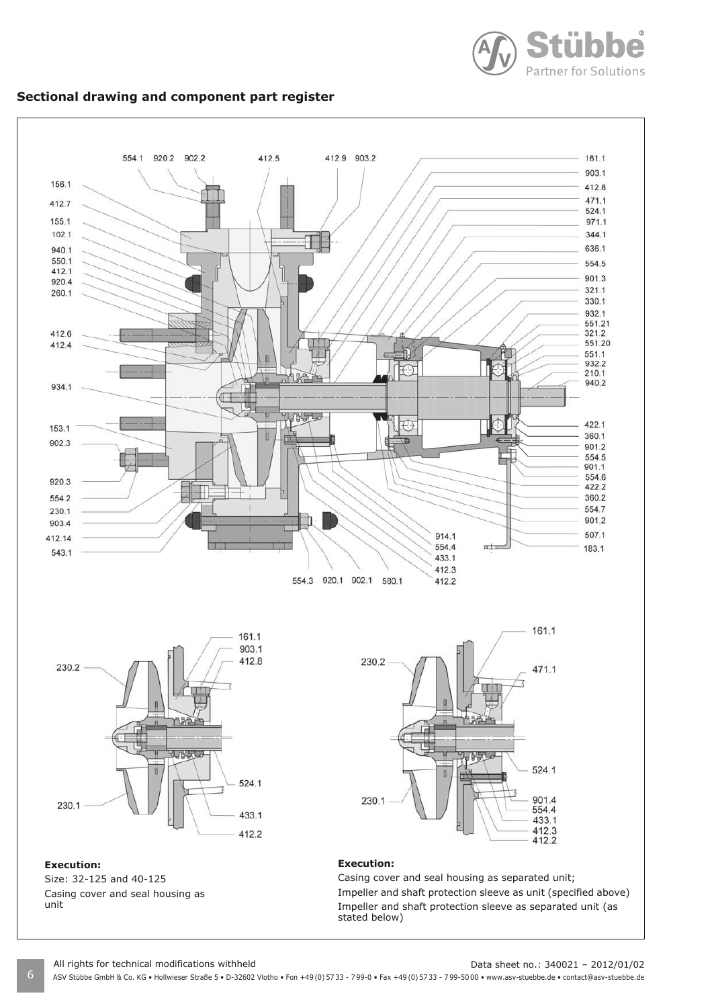

# **Sectional drawing and component part register**



6 ASV Stübbe GmbH & Co. KG • Hollwieser Straße 5 • D-32602 Vlotho • Fon +49 (0) 57 33 - 7 99-0 • Fax +49 (0) 57 33 - 7 99-50 00 • www.asv-stuebbe.de • contact@asv-stuebbe.de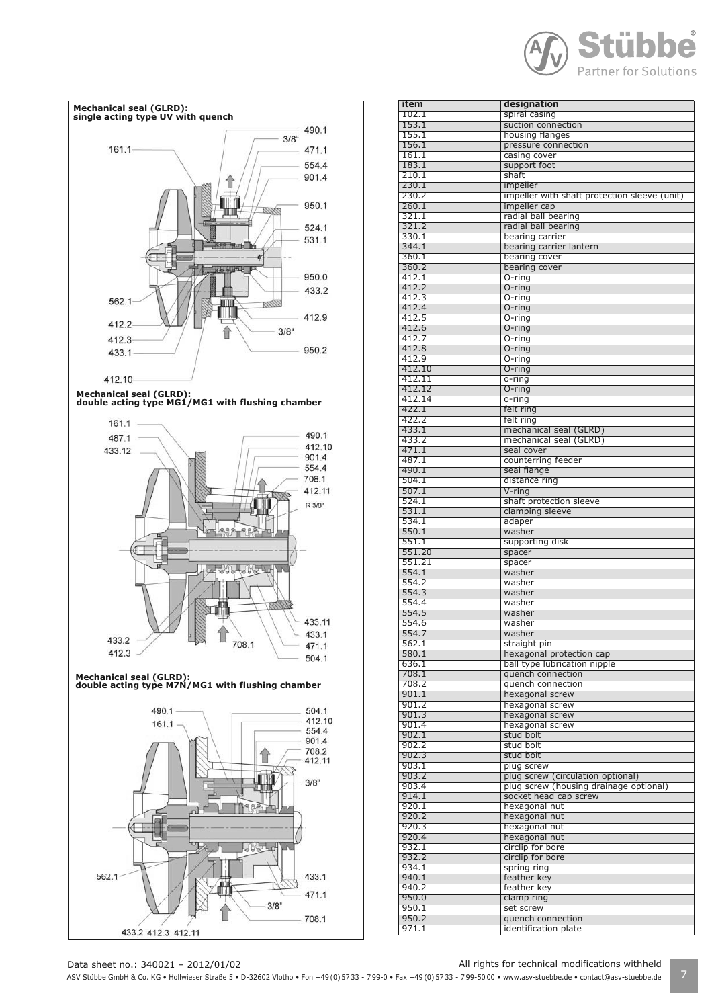



| item           | designation                                       |
|----------------|---------------------------------------------------|
| 102.1          | spiral casing                                     |
| 153.1          | suction connection                                |
| 155.1          | housing flanges                                   |
| 156.1          | pressure connection                               |
| 161.1<br>183.1 | casing cover<br>support foot                      |
| 210.1          | shaft                                             |
| 230.1          | impeller                                          |
| 230.2          | impeller with shaft protection sleeve (unit)      |
| 260.1          | impeller cap                                      |
| 321.1          | radial ball bearing                               |
| 321.2          | radial ball bearing                               |
| 330.1          | bearing carrier                                   |
| 344.1          | bearing carrier lantern                           |
| 360.1          | bearing cover                                     |
| 360.2          | bearing cover                                     |
| 412.1<br>412.2 | $O$ -ring                                         |
| 412.3          | $O$ -ring<br>$O$ -ring                            |
| 412.4          | $O$ -ring                                         |
| 412.5          | O-ring                                            |
| 412.6          | $O$ -ring                                         |
| 412.7          | O-ring                                            |
| 412.8          | O-ring                                            |
| 412.9          | O-ring                                            |
| 412.10         | $O$ -ring                                         |
| 412.11         | o-ring                                            |
| 412.12         | $O$ -ring                                         |
| 412.14         | $o$ -ring                                         |
| 422.1          | felt ring                                         |
| 422.2          | felt ring                                         |
| 433.1          | mechanical seal (GLRD)                            |
| 433.2          | mechanical seal (GLRD)                            |
| 471.1          | seal cover                                        |
| 487.1          | counterring feeder                                |
| 490.1<br>504.1 | seal flange                                       |
|                | distance ring                                     |
| 507.1<br>524.1 | $V$ -ring<br>shaft protection sleeve              |
| 531.1          | clamping sleeve                                   |
| 534.1          | adaper                                            |
| 550.1          | washer                                            |
| 551.1          | supporting disk                                   |
| 551.20         | spacer                                            |
| 551.21         | spacer                                            |
| 554.1          | washer                                            |
| 554.2          | washer                                            |
| 554.3          | washer                                            |
| 554.4          | washer                                            |
| 554.5          | washer                                            |
| 554.6          | washer                                            |
| 554.7          | washer                                            |
| 562.1          | straight pin                                      |
| 580.1          | hexagonal protection cap                          |
| 636.1<br>708.1 | ball type lubrication nipple<br>quench connection |
| 708.2          | quench connection                                 |
| 901.1          | hexagonal screw                                   |
| 901.2          | hexagonal screw                                   |
| 901.3          | hexagonal screw                                   |
| 901.4          | hexagonal screw                                   |
| 902.1          | stud bolt                                         |
| 902.2          | stud bolt                                         |
| 902.3          | stud bolt                                         |
| 903.1          | plug screw                                        |
| 903.2          | plug screw (circulation optional)                 |
| 903.4          | plug screw (housing drainage optional)            |
| 914.1          | socket head cap screw                             |
| 920.1          | hexagonal nut                                     |
| 920.2          | hexagonal nut                                     |
| 920.3          | hexagonal nut                                     |
| 920.4          | hexagonal nut                                     |
| 932.1<br>932.2 | circlip for bore                                  |
| 934.1          | circlip for bore<br>spring ring                   |
| 940.1          | feather key                                       |
| 940.2          | feather key                                       |
| 950.0          | clamp ring                                        |
| 950.1          | set screw                                         |
| 950.2          | quench connection                                 |
| 971.1          | identification plate                              |
|                |                                                   |

Data sheet no.: 340021 – 2012/01/02 All rights for technical modifications withheld

ASV Stübbe GmbH & Co. KG • Hollwieser Straße 5 • D-32602 Vlotho • Fon +49 (0) 57 33 - 799-0 • Fax +49 (0) 57 33 - 799-5000 • www.asv-stuebbe.de • contact@asv-stuebbe.de | 7